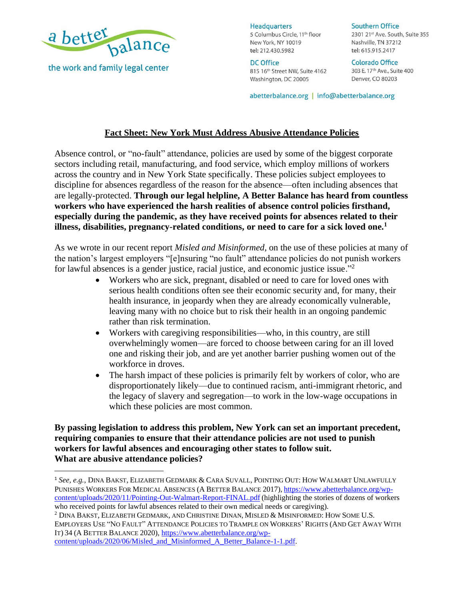

the work and family legal center

**Headquarters** 5 Columbus Circle, 11<sup>th</sup> floor New York, NY 10019 tel: 212.430.5982

**DC Office** 815 16th Street NW, Suite 4162 Washington, DC 20005

**Southern Office** 2301 21st Ave. South, Suite 355 Nashville, TN 37212 tel: 615.915.2417

**Colorado Office** 303 E. 17<sup>th</sup> Ave., Suite 400 Denver, CO 80203

abetterbalance.org | info@abetterbalance.org

## **Fact Sheet: New York Must Address Abusive Attendance Policies**

Absence control, or "no-fault" attendance, policies are used by some of the biggest corporate sectors including retail, manufacturing, and food service, which employ millions of workers across the country and in New York State specifically. These policies subject employees to discipline for absences regardless of the reason for the absence—often including absences that are legally-protected. **Through our legal helpline, A Better Balance has heard from countless workers who have experienced the harsh realities of absence control policies firsthand, especially during the pandemic, as they have received points for absences related to their illness, disabilities, pregnancy-related conditions, or need to care for a sick loved one. 1**

As we wrote in our recent report *Misled and Misinformed*, on the use of these policies at many of the nation's largest employers "[e]nsuring "no fault" attendance policies do not punish workers for lawful absences is a gender justice, racial justice, and economic justice issue."<sup>2</sup>

- Workers who are sick, pregnant, disabled or need to care for loved ones with serious health conditions often see their economic security and, for many, their health insurance, in jeopardy when they are already economically vulnerable, leaving many with no choice but to risk their health in an ongoing pandemic rather than risk termination.
- Workers with caregiving responsibilities—who, in this country, are still overwhelmingly women—are forced to choose between caring for an ill loved one and risking their job, and are yet another barrier pushing women out of the workforce in droves.
- The harsh impact of these policies is primarily felt by workers of color, who are disproportionately likely—due to continued racism, anti-immigrant rhetoric, and the legacy of slavery and segregation—to work in the low-wage occupations in which these policies are most common.

**By passing legislation to address this problem, New York can set an important precedent, requiring companies to ensure that their attendance policies are not used to punish workers for lawful absences and encouraging other states to follow suit. What are abusive attendance policies?**

<sup>1</sup> *See, e.g.*, DINA BAKST, ELIZABETH GEDMARK & CARA SUVALL,POINTING OUT: HOW WALMART UNLAWFULLY PUNISHES WORKERS FOR MEDICAL ABSENCES (A BETTER BALANCE 2017), [https://www.abetterbalance.org/wp](https://www.abetterbalance.org/wp-content/uploads/2020/11/Pointing-Out-Walmart-Report-FINAL.pdf)[content/uploads/2020/11/Pointing-Out-Walmart-Report-FINAL.pdf](https://www.abetterbalance.org/wp-content/uploads/2020/11/Pointing-Out-Walmart-Report-FINAL.pdf) (highlighting the stories of dozens of workers who received points for lawful absences related to their own medical needs or caregiving).

<sup>2</sup> DINA BAKST, ELIZABETH GEDMARK, AND CHRISTINE DINAN, MISLED & MISINFORMED: HOW SOME U.S. EMPLOYERS USE "NO FAULT" ATTENDANCE POLICIES TO TRAMPLE ON WORKERS' RIGHTS (AND GET AWAY WITH IT) 34 (A BETTER BALANCE 2020), [https://www.abetterbalance.org/wp](https://www.abetterbalance.org/wp-content/uploads/2020/06/Misled_and_Misinformed_A_Better_Balance-1-1.pdf)[content/uploads/2020/06/Misled\\_and\\_Misinformed\\_A\\_Better\\_Balance-1-1.pdf.](https://www.abetterbalance.org/wp-content/uploads/2020/06/Misled_and_Misinformed_A_Better_Balance-1-1.pdf)